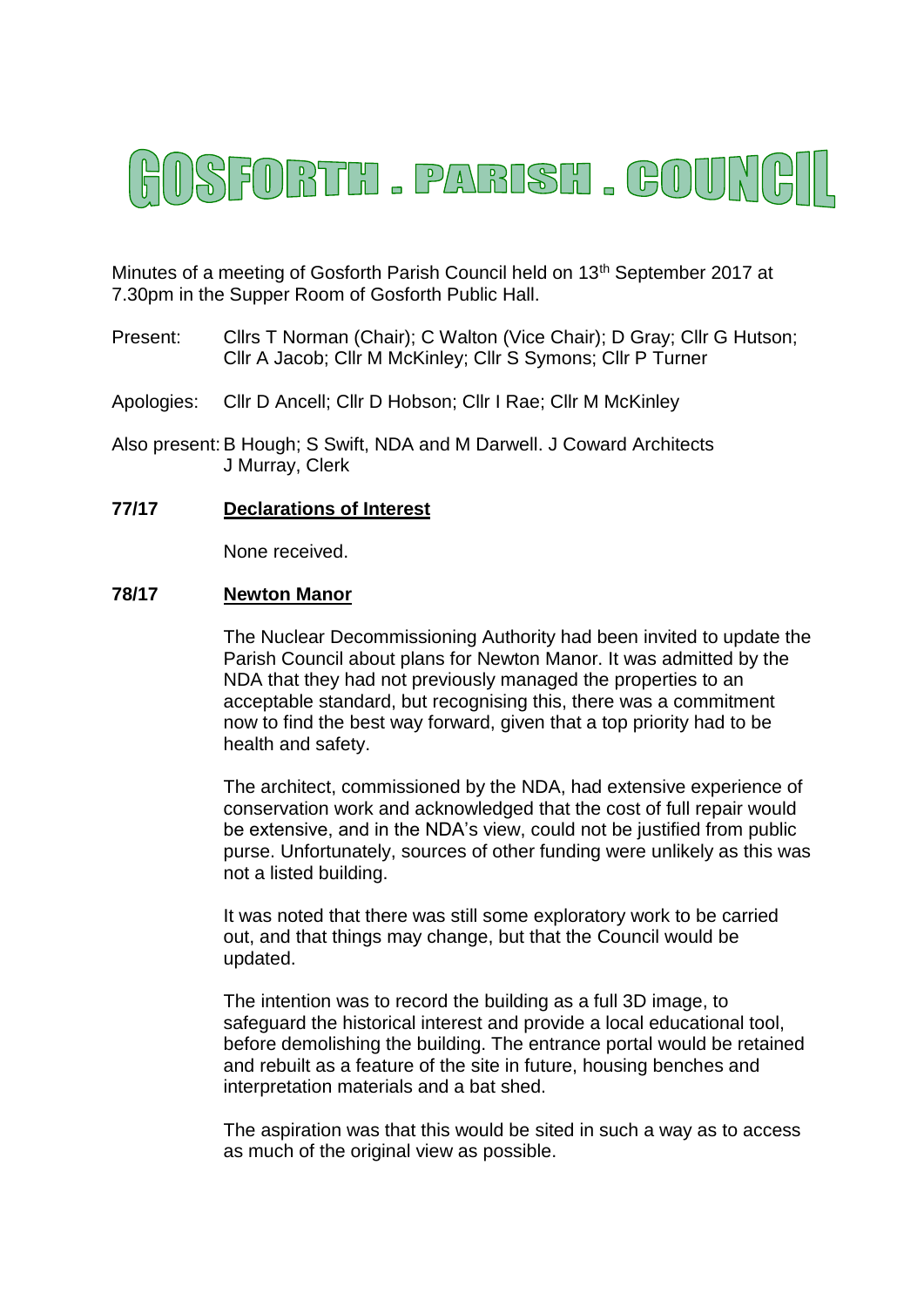# ISFORTH . PARISH . GOUNG

Minutes of a meeting of Gosforth Parish Council held on 13<sup>th</sup> September 2017 at 7.30pm in the Supper Room of Gosforth Public Hall.

- Present: Cllrs T Norman (Chair); C Walton (Vice Chair); D Gray; Cllr G Hutson; Cllr A Jacob; Cllr M McKinley; Cllr S Symons; Cllr P Turner
- Apologies: Cllr D Ancell; Cllr D Hobson; Cllr I Rae; Cllr M McKinley
- Also present:B Hough; S Swift, NDA and M Darwell. J Coward Architects J Murray, Clerk

# **77/17 Declarations of Interest**

None received.

#### **78/17 Newton Manor**

The Nuclear Decommissioning Authority had been invited to update the Parish Council about plans for Newton Manor. It was admitted by the NDA that they had not previously managed the properties to an acceptable standard, but recognising this, there was a commitment now to find the best way forward, given that a top priority had to be health and safety.

The architect, commissioned by the NDA, had extensive experience of conservation work and acknowledged that the cost of full repair would be extensive, and in the NDA's view, could not be justified from public purse. Unfortunately, sources of other funding were unlikely as this was not a listed building.

It was noted that there was still some exploratory work to be carried out, and that things may change, but that the Council would be updated.

The intention was to record the building as a full 3D image, to safeguard the historical interest and provide a local educational tool, before demolishing the building. The entrance portal would be retained and rebuilt as a feature of the site in future, housing benches and interpretation materials and a bat shed.

The aspiration was that this would be sited in such a way as to access as much of the original view as possible.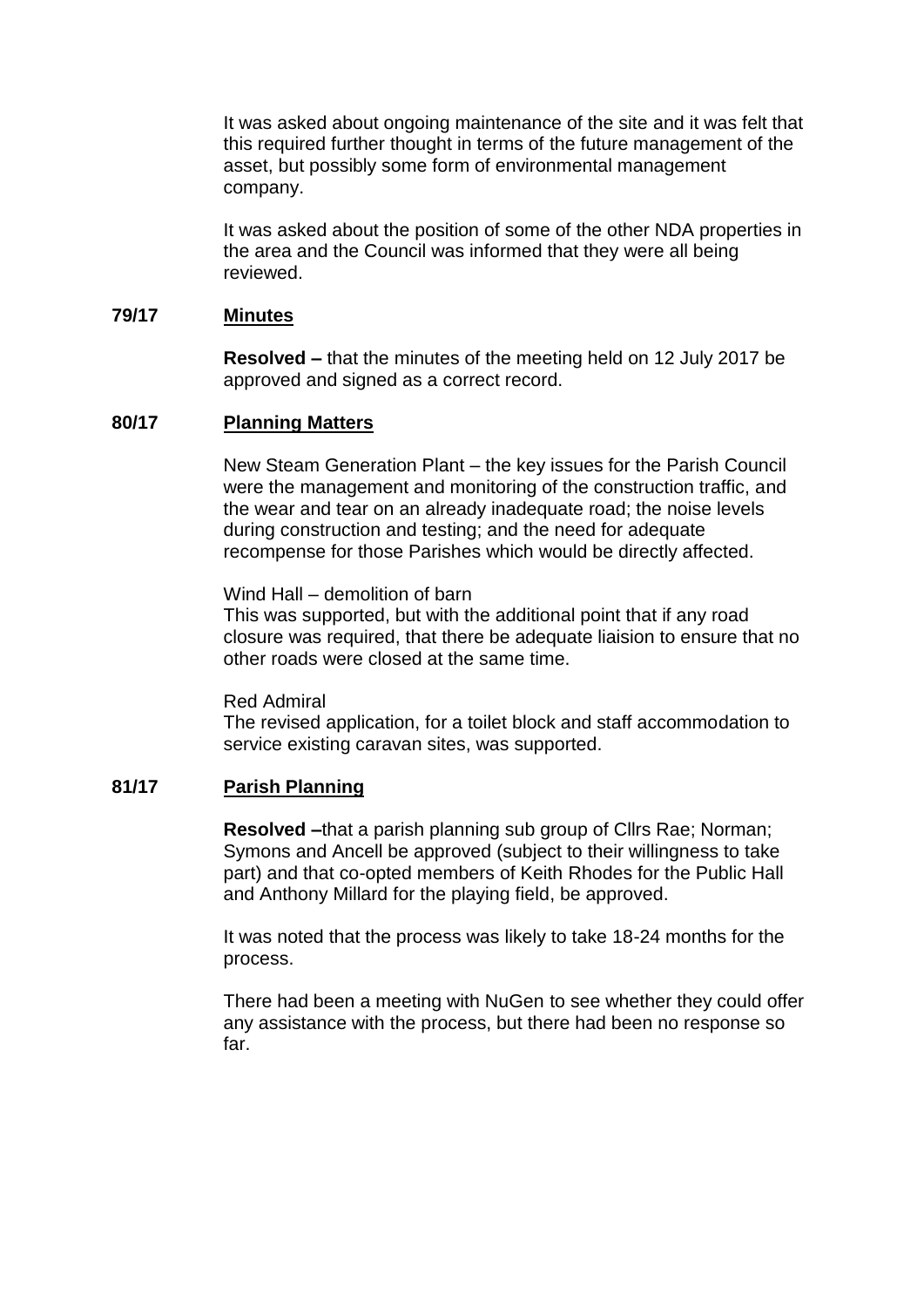It was asked about ongoing maintenance of the site and it was felt that this required further thought in terms of the future management of the asset, but possibly some form of environmental management company.

It was asked about the position of some of the other NDA properties in the area and the Council was informed that they were all being reviewed.

#### **79/17 Minutes**

**Resolved –** that the minutes of the meeting held on 12 July 2017 be approved and signed as a correct record.

#### **80/17 Planning Matters**

New Steam Generation Plant – the key issues for the Parish Council were the management and monitoring of the construction traffic, and the wear and tear on an already inadequate road; the noise levels during construction and testing; and the need for adequate recompense for those Parishes which would be directly affected.

Wind Hall – demolition of barn

This was supported, but with the additional point that if any road closure was required, that there be adequate liaision to ensure that no other roads were closed at the same time.

Red Admiral

The revised application, for a toilet block and staff accommodation to service existing caravan sites, was supported.

#### **81/17 Parish Planning**

**Resolved –**that a parish planning sub group of Cllrs Rae; Norman; Symons and Ancell be approved (subject to their willingness to take part) and that co-opted members of Keith Rhodes for the Public Hall and Anthony Millard for the playing field, be approved.

It was noted that the process was likely to take 18-24 months for the process.

There had been a meeting with NuGen to see whether they could offer any assistance with the process, but there had been no response so far.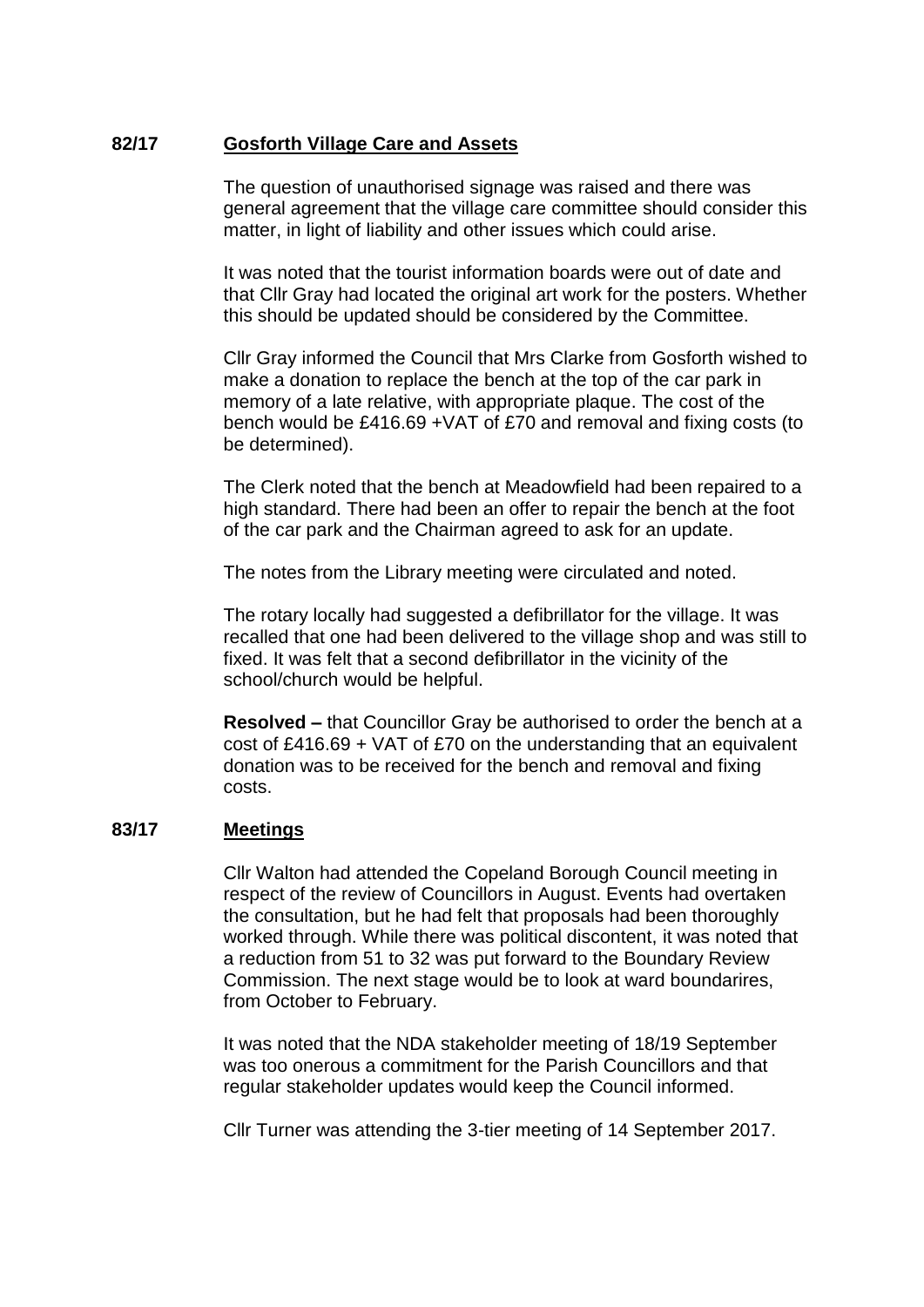# **82/17 Gosforth Village Care and Assets**

The question of unauthorised signage was raised and there was general agreement that the village care committee should consider this matter, in light of liability and other issues which could arise.

It was noted that the tourist information boards were out of date and that Cllr Gray had located the original art work for the posters. Whether this should be updated should be considered by the Committee.

Cllr Gray informed the Council that Mrs Clarke from Gosforth wished to make a donation to replace the bench at the top of the car park in memory of a late relative, with appropriate plaque. The cost of the bench would be £416.69 +VAT of £70 and removal and fixing costs (to be determined).

The Clerk noted that the bench at Meadowfield had been repaired to a high standard. There had been an offer to repair the bench at the foot of the car park and the Chairman agreed to ask for an update.

The notes from the Library meeting were circulated and noted.

The rotary locally had suggested a defibrillator for the village. It was recalled that one had been delivered to the village shop and was still to fixed. It was felt that a second defibrillator in the vicinity of the school/church would be helpful.

**Resolved –** that Councillor Gray be authorised to order the bench at a cost of £416.69 + VAT of £70 on the understanding that an equivalent donation was to be received for the bench and removal and fixing costs.

#### **83/17 Meetings**

Cllr Walton had attended the Copeland Borough Council meeting in respect of the review of Councillors in August. Events had overtaken the consultation, but he had felt that proposals had been thoroughly worked through. While there was political discontent, it was noted that a reduction from 51 to 32 was put forward to the Boundary Review Commission. The next stage would be to look at ward boundarires, from October to February.

It was noted that the NDA stakeholder meeting of 18/19 September was too onerous a commitment for the Parish Councillors and that regular stakeholder updates would keep the Council informed.

Cllr Turner was attending the 3-tier meeting of 14 September 2017.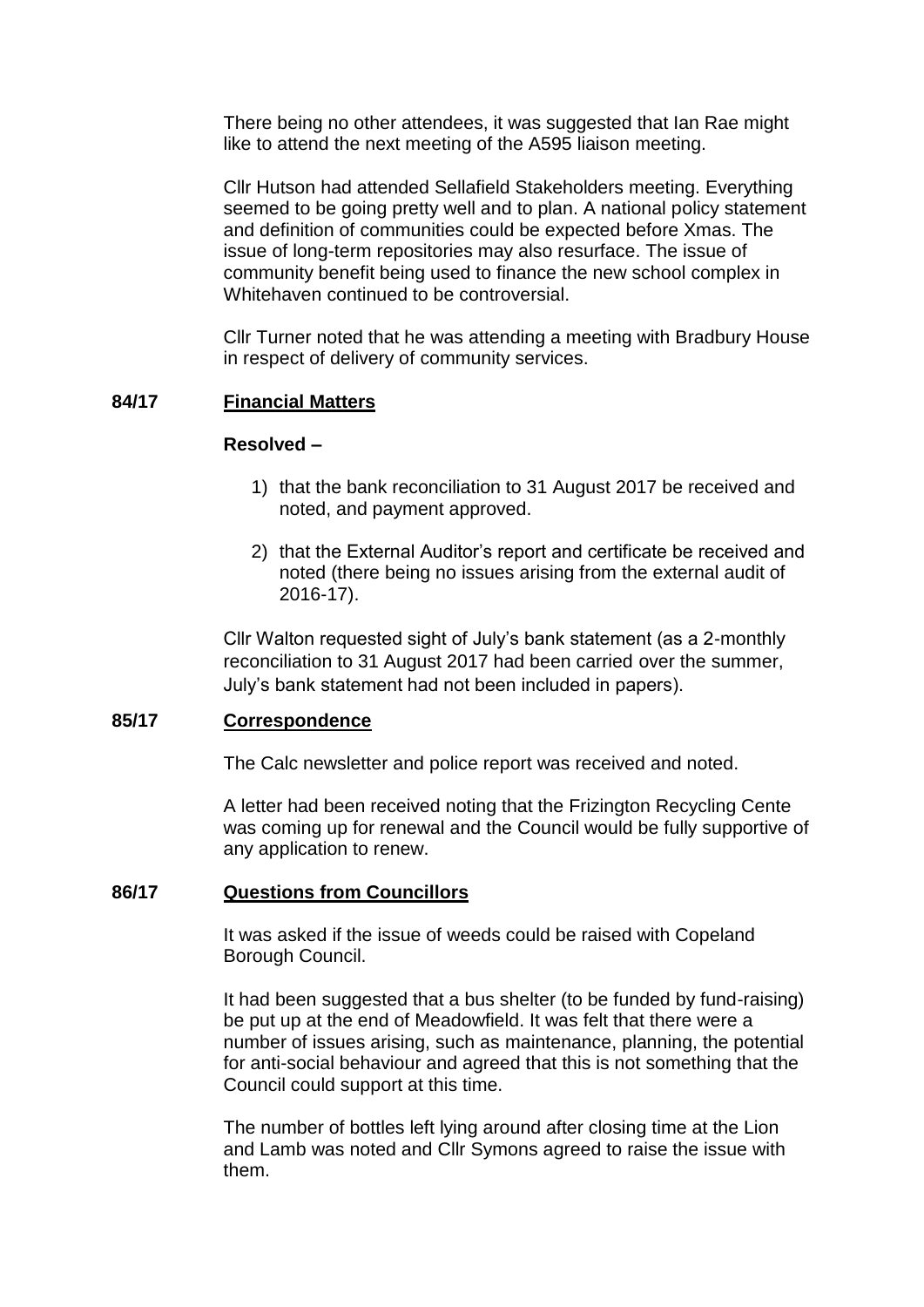There being no other attendees, it was suggested that Ian Rae might like to attend the next meeting of the A595 liaison meeting.

Cllr Hutson had attended Sellafield Stakeholders meeting. Everything seemed to be going pretty well and to plan. A national policy statement and definition of communities could be expected before Xmas. The issue of long-term repositories may also resurface. The issue of community benefit being used to finance the new school complex in Whitehaven continued to be controversial.

Cllr Turner noted that he was attending a meeting with Bradbury House in respect of delivery of community services.

# **84/17 Financial Matters**

#### **Resolved –**

- 1) that the bank reconciliation to 31 August 2017 be received and noted, and payment approved.
- 2) that the External Auditor's report and certificate be received and noted (there being no issues arising from the external audit of 2016-17).

Cllr Walton requested sight of July's bank statement (as a 2-monthly reconciliation to 31 August 2017 had been carried over the summer, July's bank statement had not been included in papers).

# **85/17 Correspondence**

The Calc newsletter and police report was received and noted.

A letter had been received noting that the Frizington Recycling Cente was coming up for renewal and the Council would be fully supportive of any application to renew.

# **86/17 Questions from Councillors**

It was asked if the issue of weeds could be raised with Copeland Borough Council.

It had been suggested that a bus shelter (to be funded by fund-raising) be put up at the end of Meadowfield. It was felt that there were a number of issues arising, such as maintenance, planning, the potential for anti-social behaviour and agreed that this is not something that the Council could support at this time.

The number of bottles left lying around after closing time at the Lion and Lamb was noted and Cllr Symons agreed to raise the issue with them.